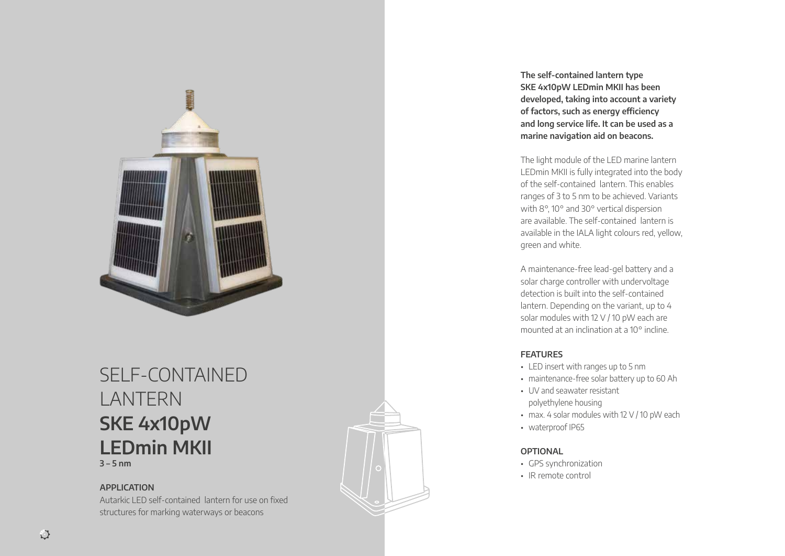

## SELF-CONTAINED LANTERN **SKE 4x10pW LEDmin MKII 3 – 5 nm**

## **APPLICATION**

Autarkic LED self-contained lantern for use on fixed structures for marking waterways or beacons

**The self-contained lantern type SKE 4x10pW LEDmin MKII has been developed, taking into account a variety of factors, such as energy efficiency and long service life. It can be used as a marine navigation aid on beacons.** 

The light module of the LED marine lantern LEDmin MKII is fully integrated into the body of the self-contained lantern. This enables ranges of 3 to 5 nm to be achieved. Variants with 8°, 10° and 30° vertical dispersion are available. The self-contained lantern is available in the IALA light colours red, yellow, green and white.

A maintenance-free lead-gel battery and a solar charge controller with undervoltage detection is built into the self-contained lantern. Depending on the variant, up to 4 solar modules with 12 V / 10 pW each are mounted at an inclination at a 10° incline.

## **FEATURES**

- LED insert with ranges up to 5 nm
- maintenance-free solar battery up to 60 Ah
- UV and seawater resistant polyethylene housing
- max. 4 solar modules with 12 V / 10 pW each
- waterproof IP65

## **OPTIONAL**

- GPS synchronization
- IR remote control